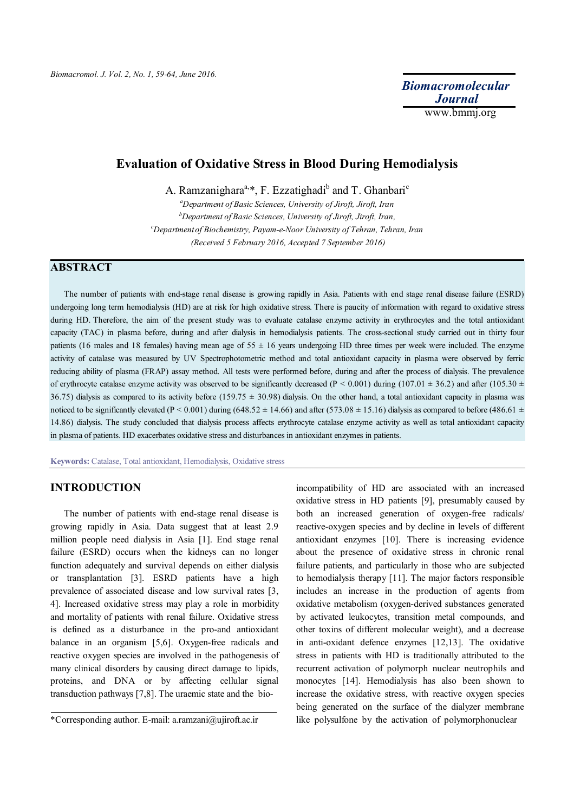*Biomacromolecular Journal* www.bmmj.org

# **Evaluation of Oxidative Stress in Blood During Hemodialysis**

A. Ramzanighara<sup>a,\*</sup>, F. Ezzatighadi<sup>b</sup> and T. Ghanbari<sup>c</sup>

*<sup>a</sup>Department of Basic Sciences, University of Jiroft, Jiroft, Iran <sup>b</sup>Department of Basic Sciences, University of Jiroft, Jiroft, Iran, <sup>c</sup>Department of Biochemistry, Payam-e-Noor University of Tehran, Tehran, Iran (Received 5 February 2016, Accepted 7 September 2016)*

# **ABSTRACT**

The number of patients with end-stage renal disease is growing rapidly in Asia. Patients with end stage renal disease failure (ESRD) undergoing long term hemodialysis (HD) are at risk for high oxidative stress. There is paucity of information with regard to oxidative stress during HD. Therefore, the aim of the present study was to evaluate catalase enzyme activity in erythrocytes and the total antioxidant capacity (TAC) in plasma before, during and after dialysis in hemodialysis patients. The cross-sectional study carried out in thirty four patients (16 males and 18 females) having mean age of  $55 \pm 16$  years undergoing HD three times per week were included. The enzyme activity of catalase was measured by UV Spectrophotometric method and total antioxidant capacity in plasma were observed by ferric reducing ability of plasma (FRAP) assay method. All tests were performed before, during and after the process of dialysis. The prevalence of erythrocyte catalase enzyme activity was observed to be significantly decreased (P < 0.001) during (107.01  $\pm$  36.2) and after (105.30  $\pm$ 36.75) dialysis as compared to its activity before (159.75  $\pm$  30.98) dialysis. On the other hand, a total antioxidant capacity in plasma was noticed to be significantly elevated (P < 0.001) during (648.52  $\pm$  14.66) and after (573.08  $\pm$  15.16) dialysis as compared to before (486.61  $\pm$ 14.86) dialysis. The study concluded that dialysis process affects erythrocyte catalase enzyme activity as well as total antioxidant capacity in plasma of patients. HD exacerbates oxidative stress and disturbances in antioxidant enzymes in patients.

**Keywords:** Catalase, Total antioxidant, Hemodialysis, Oxidative stress

### **INTRODUCTION**

 The number of patients with end-stage renal disease is growing rapidly in Asia. Data suggest that at least 2.9 million people need dialysis in Asia [1]. End stage renal failure (ESRD) occurs when the kidneys can no longer function adequately and survival depends on either dialysis or transplantation [3]. ESRD patients have a high prevalence of associated disease and low survival rates [3, 4]. Increased oxidative stress may play a role in morbidity and mortality of patients with renal failure. Oxidative stress is defined as a disturbance in the pro-and antioxidant balance in an organism [5,6]. Oxygen-free radicals and reactive oxygen species are involved in the pathogenesis of many clinical disorders by causing direct damage to lipids, proteins, and DNA or by affecting cellular signal transduction pathways [7,8]. The uraemic state and the bioincompatibility of HD are associated with an increased oxidative stress in HD patients [9], presumably caused by both an increased generation of oxygen-free radicals/ reactive-oxygen species and by decline in levels of different antioxidant enzymes [10]. There is increasing evidence about the presence of oxidative stress in chronic renal failure patients, and particularly in those who are subjected to hemodialysis therapy [11]. The major factors responsible includes an increase in the production of agents from oxidative metabolism (oxygen-derived substances generated by activated leukocytes, transition metal compounds, and other toxins of different molecular weight), and a decrease in anti-oxidant defence enzymes [12,13]. The oxidative stress in patients with HD is traditionally attributed to the recurrent activation of polymorph nuclear neutrophils and monocytes [14]. Hemodialysis has also been shown to increase the oxidative stress, with reactive oxygen species being generated on the surface of the dialyzer membrane like polysulfone by the activation of polymorphonuclear

<sup>\*</sup>Corresponding author. E-mail: a.ramzani@ujiroft.ac.ir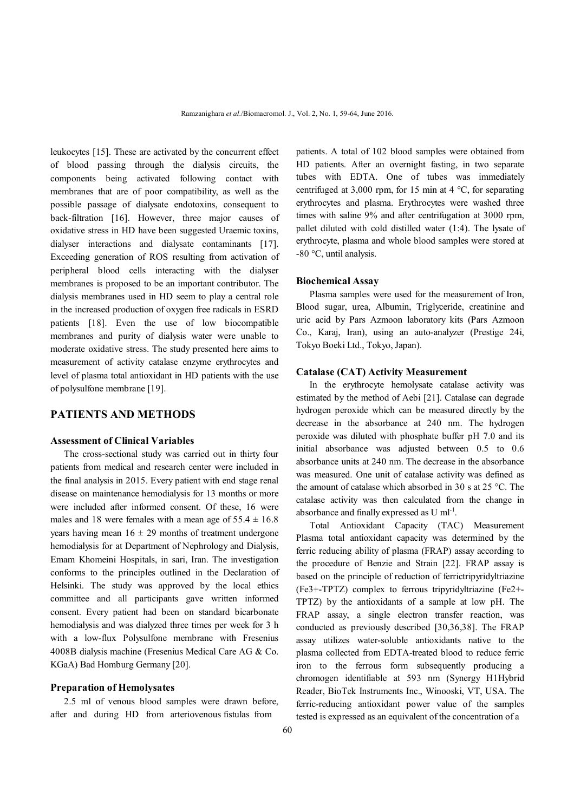leukocytes [15]. These are activated by the concurrent effect of blood passing through the dialysis circuits, the components being activated following contact with membranes that are of poor compatibility, as well as the possible passage of dialysate endotoxins, consequent to back-filtration [16]. However, three major causes of oxidative stress in HD have been suggested Uraemic toxins, dialyser interactions and dialysate contaminants [17]. Exceeding generation of ROS resulting from activation of peripheral blood cells interacting with the dialyser membranes is proposed to be an important contributor. The dialysis membranes used in HD seem to play a central role in the increased production of oxygen free radicals in ESRD patients [18]. Even the use of low biocompatible membranes and purity of dialysis water were unable to moderate oxidative stress. The study presented here aims to measurement of activity catalase enzyme erythrocytes and level of plasma total antioxidant in HD patients with the use of polysulfone membrane [19].

## **PATIENTS AND METHODS**

### **Assessment of Clinical Variables**

 The cross-sectional study was carried out in thirty four patients from medical and research center were included in the final analysis in 2015. Every patient with end stage renal disease on maintenance hemodialysis for 13 months or more were included after informed consent. Of these, 16 were males and 18 were females with a mean age of  $55.4 \pm 16.8$ years having mean  $16 \pm 29$  months of treatment undergone hemodialysis for at Department of Nephrology and Dialysis, Emam Khomeini Hospitals, in sari, Iran. The investigation conforms to the principles outlined in the Declaration of Helsinki. The study was approved by the local ethics committee and all participants gave written informed consent. Every patient had been on standard bicarbonate hemodialysis and was dialyzed three times per week for 3 h with a low-flux Polysulfone membrane with Fresenius 4008B dialysis machine (Fresenius Medical Care AG & Co. KGaA) Bad Homburg Germany [20].

#### **Preparation of Hemolysates**

 2.5 ml of venous blood samples were drawn before, after and during HD from arteriovenous fistulas from

patients. A total of 102 blood samples were obtained from HD patients. After an overnight fasting, in two separate tubes with EDTA. One of tubes was immediately centrifuged at 3,000 rpm, for 15 min at 4  $^{\circ}$ C, for separating erythrocytes and plasma. Erythrocytes were washed three times with saline 9% and after centrifugation at 3000 rpm, pallet diluted with cold distilled water (1:4). The lysate of erythrocyte, plasma and whole blood samples were stored at -80 °C, until analysis.

### **Biochemical Assay**

 Plasma samples were used for the measurement of Iron, Blood sugar, urea, Albumin, Triglyceride, creatinine and uric acid by Pars Azmoon laboratory kits (Pars Azmoon Co., Karaj, Iran), using an auto-analyzer (Prestige 24i, Tokyo Boeki Ltd., Tokyo, Japan).

#### **Catalase (CAT) Activity Measurement**

 In the erythrocyte hemolysate catalase activity was estimated by the method of Aebi [21]. Catalase can degrade hydrogen peroxide which can be measured directly by the decrease in the absorbance at 240 nm. The hydrogen peroxide was diluted with phosphate buffer pH 7.0 and its initial absorbance was adjusted between 0.5 to 0.6 absorbance units at 240 nm. The decrease in the absorbance was measured. One unit of catalase activity was defined as the amount of catalase which absorbed in 30 s at 25 °C. The catalase activity was then calculated from the change in absorbance and finally expressed as  $U$  ml<sup>-1</sup>.

 Total Antioxidant Capacity (TAC) Measurement Plasma total antioxidant capacity was determined by the ferric reducing ability of plasma (FRAP) assay according to the procedure of Benzie and Strain [22]. FRAP assay is based on the principle of reduction of ferrictripyridyltriazine (Fe3+-TPTZ) complex to ferrous tripyridyltriazine (Fe2+- TPTZ) by the antioxidants of a sample at low pH. The FRAP assay, a single electron transfer reaction, was conducted as previously described [30,36,38]. The FRAP assay utilizes water-soluble antioxidants native to the plasma collected from EDTA-treated blood to reduce ferric iron to the ferrous form subsequently producing a chromogen identifiable at 593 nm (Synergy H1Hybrid Reader, BioTek Instruments Inc., Winooski, VT, USA. The ferric-reducing antioxidant power value of the samples tested is expressed as an equivalent of the concentration of a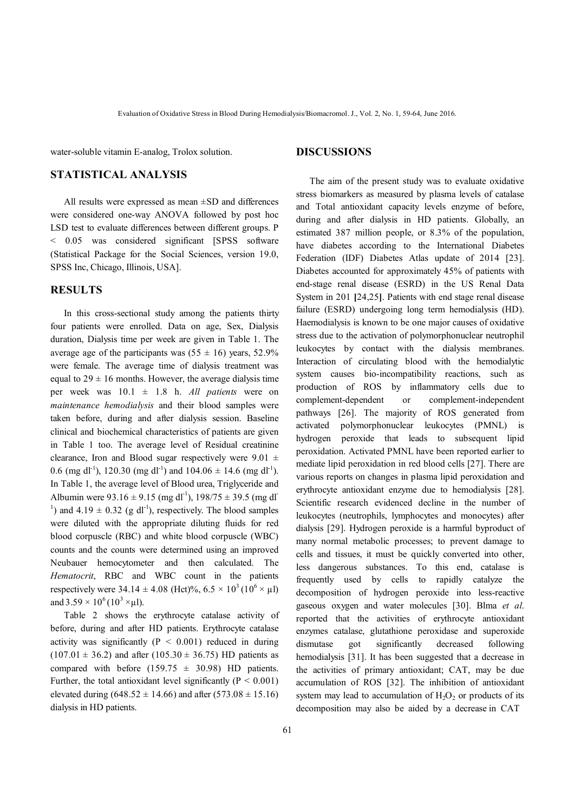water-soluble vitamin E-analog, Trolox solution.

# **STATISTICAL ANALYSIS**

 All results were expressed as mean ±SD and differences were considered one-way ANOVA followed by post hoc LSD test to evaluate differences between different groups. P < 0.05 was considered significant [SPSS software (Statistical Package for the Social Sciences, version 19.0, SPSS Inc, Chicago, Illinois, USA].

# **RESULTS**

 In this cross-sectional study among the patients thirty four patients were enrolled. Data on age, Sex, Dialysis duration, Dialysis time per week are given in Table 1. The average age of the participants was  $(55 \pm 16)$  years, 52.9% were female. The average time of dialysis treatment was equal to  $29 \pm 16$  months. However, the average dialysis time per week was 10.1 ± 1.8 h. *All patients* were on *maintenance hemodialysis* and their blood samples were taken before, during and after dialysis session. Baseline clinical and biochemical characteristics of patients are given in Table 1 too. The average level of Residual creatinine clearance, Iron and Blood sugar respectively were  $9.01 \pm$ 0.6 (mg dl<sup>-1</sup>), 120.30 (mg dl<sup>-1</sup>) and 104.06  $\pm$  14.6 (mg dl<sup>-1</sup>). In Table 1, the average level of Blood urea, Triglyceride and Albumin were  $93.16 \pm 9.15$  (mg dl<sup>-1</sup>),  $198/75 \pm 39.5$  (mg dl<sup>-1</sup>) <sup>1</sup>) and  $4.19 \pm 0.32$  (g dl<sup>-1</sup>), respectively. The blood samples were diluted with the appropriate diluting fluids for red blood corpuscle (RBC) and white blood corpuscle (WBC) counts and the counts were determined using an improved Neubauer hemocytometer and then calculated. The *Hematocrit*, RBC and WBC count in the patients respectively were  $34.14 \pm 4.08$  (Hct)%,  $6.5 \times 10^3$  ( $10^6 \times \mu$ l) and  $3.59 \times 10^6 (10^3 \times \mu l)$ .

 Table 2 shows the erythrocyte catalase activity of before, during and after HD patients. Erythrocyte catalase activity was significantly  $(P < 0.001)$  reduced in during  $(107.01 \pm 36.2)$  and after  $(105.30 \pm 36.75)$  HD patients as compared with before  $(159.75 \pm 30.98)$  HD patients. Further, the total antioxidant level significantly ( $P < 0.001$ ) elevated during  $(648.52 \pm 14.66)$  and after  $(573.08 \pm 15.16)$ dialysis in HD patients.

### **DISCUSSIONS**

 The aim of the present study was to evaluate oxidative stress biomarkers as measured by plasma levels of catalase and Total antioxidant capacity levels enzyme of before, during and after dialysis in HD patients. Globally, an estimated 387 million people, or 8.3% of the population, have diabetes according to the International Diabetes Federation (IDF) Diabetes Atlas update of 2014 [23]. Diabetes accounted for approximately 45% of patients with end-stage renal disease (ESRD) in the US Renal Data System in 201 **[**24,25**]**. Patients with end stage renal disease failure (ESRD) undergoing long term hemodialysis (HD). Haemodialysis is known to be one major causes of oxidative stress due to the activation of polymorphonuclear neutrophil leukocytes by contact with the dialysis membranes. Interaction of circulating blood with the hemodialytic system causes bio-incompatibility reactions, such as production of ROS by inflammatory cells due to complement-dependent or complement-independent pathways [26]. The majority of ROS generated from activated polymorphonuclear leukocytes (PMNL) is hydrogen peroxide that leads to subsequent lipid peroxidation. Activated PMNL have been reported earlier to mediate lipid peroxidation in red blood cells [27]. There are various reports on changes in plasma lipid peroxidation and erythrocyte antioxidant enzyme due to hemodialysis [28]. Scientific research evidenced decline in the number of leukocytes (neutrophils, lymphocytes and monocytes) after dialysis [29]. Hydrogen peroxide is a harmful byproduct of many normal metabolic processes; to prevent damage to cells and tissues, it must be quickly converted into other, less dangerous substances. To this end, catalase is frequently used by cells to rapidly catalyze the decomposition of hydrogen peroxide into less-reactive gaseous oxygen and water molecules [30]. Blma *et al*. reported that the activities of erythrocyte antioxidant enzymes catalase, glutathione peroxidase and superoxide dismutase got significantly decreased following hemodialysis [31]. It has been suggested that a decrease in the activities of primary antioxidant; CAT, may be due accumulation of ROS [32]. The inhibition of antioxidant system may lead to accumulation of  $H_2O_2$  or products of its decomposition may also be aided by a decrease in CAT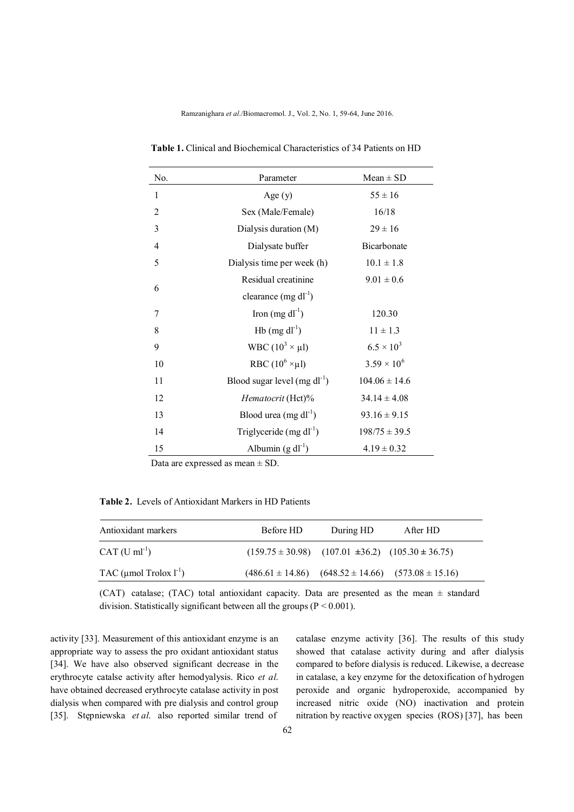| No.            | Parameter                           | $Mean \pm SD$        |
|----------------|-------------------------------------|----------------------|
| 1              | Age $(y)$                           | $55 \pm 16$          |
| $\overline{2}$ | Sex (Male/Female)                   | 16/18                |
| 3              | Dialysis duration (M)               | $29 \pm 16$          |
| $\overline{4}$ | Dialysate buffer                    | Bicarbonate          |
| 5              | Dialysis time per week (h)          | $10.1 \pm 1.8$       |
|                | Residual creatinine                 | $9.01 \pm 0.6$       |
| 6              | clearance $(mg \, dl^{-1})$         |                      |
| $\overline{7}$ | Iron $(mg \, dl^{-1})$              | 120.30               |
| 8              | Hb $(mg \, dl^{-1})$                | $11 \pm 1.3$         |
| 9              | WBC $(10^3 \times \mu l)$           | $6.5 \times 10^{3}$  |
| 10             | RBC $(10^6 \times \mu l)$           | $3.59 \times 10^{6}$ |
| 11             | Blood sugar level $(mg \, dl^{-1})$ | $104.06 \pm 14.6$    |
| 12             | Hematocrit (Hct)%                   | $34.14 \pm 4.08$     |
| 13             | Blood urea $(mg \, dl^{-1})$        | $93.16 \pm 9.15$     |
| 14             | Triglyceride $(mg \, d l^1)$        | $198/75 \pm 39.5$    |
| 15             | Albumin $(g \, dl^{-1})$            | $4.19 \pm 0.32$      |

 **Table 1.** Clinical and Biochemical Characteristics of 34 Patients on HD

Data are expressed as mean ± SD.

**Table 2.** Levels of Antioxidant Markers in HD Patients

| Antioxidant markers               | Before HD                                                     | During HD | After HD                                                       |
|-----------------------------------|---------------------------------------------------------------|-----------|----------------------------------------------------------------|
| $CAT(U ml-1)$                     | $(159.75 \pm 30.98)$ $(107.01 \pm 36.2)$ $(105.30 \pm 36.75)$ |           |                                                                |
| TAC ( $\mu$ mol Trolox $l^{-1}$ ) |                                                               |           | $(486.61 \pm 14.86)$ $(648.52 \pm 14.66)$ $(573.08 \pm 15.16)$ |

(CAT) catalase; (TAC) total antioxidant capacity. Data are presented as the mean  $\pm$  standard division. Statistically significant between all the groups ( $P < 0.001$ ).

activity [33]. Measurement of this antioxidant enzyme is an appropriate way to assess the pro oxidant antioxidant status [34]. We have also observed significant decrease in the erythrocyte catalse activity after hemodyalysis. Rico *et al*. have obtained decreased erythrocyte catalase activity in post dialysis when compared with pre dialysis and control group [35]. Stępniewska *et al*. also reported similar trend of

catalase enzyme activity [36]. The results of this study showed that catalase activity during and after dialysis compared to before dialysis is reduced. Likewise, a decrease in catalase, a key enzyme for the detoxification of hydrogen peroxide and organic hydroperoxide, accompanied by increased nitric oxide (NO) inactivation and protein nitration by reactive oxygen species (ROS) [37], has been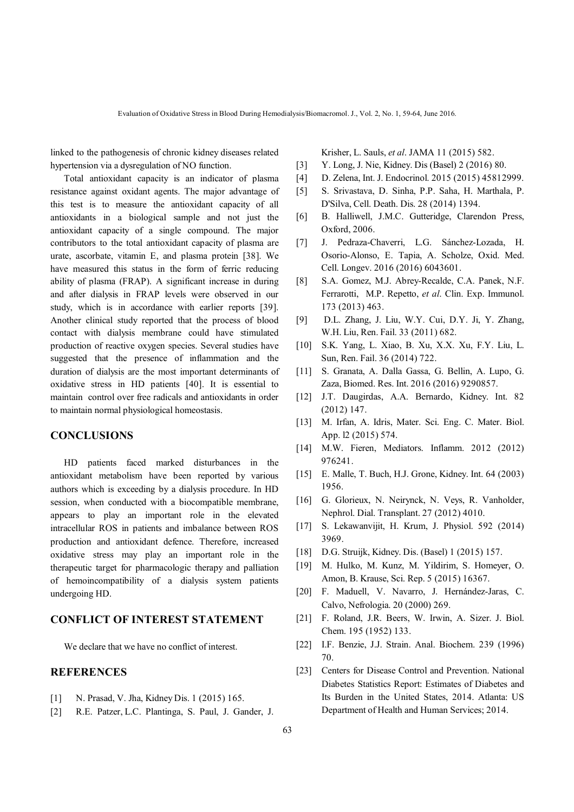linked to the pathogenesis of chronic kidney diseases related hypertension via a dysregulation of NO function.

 Total antioxidant capacity is an indicator of plasma resistance against oxidant agents. The major advantage of this test is to measure the antioxidant capacity of all antioxidants in a biological sample and not just the antioxidant capacity of a single compound. The major contributors to the total antioxidant capacity of plasma are urate, ascorbate, vitamin E, and plasma protein [38]. We have measured this status in the form of ferric reducing ability of plasma (FRAP). A significant increase in during and after dialysis in FRAP levels were observed in our study, which is in accordance with earlier reports [39]. Another clinical study reported that the process of blood contact with dialysis membrane could have stimulated production of reactive oxygen species. Several studies have suggested that the presence of inflammation and the duration of dialysis are the most important determinants of oxidative stress in HD patients [40]. It is essential to maintain control over free radicals and antioxidants in order to maintain normal physiological homeostasis.

### **CONCLUSIONS**

 HD patients faced marked disturbances in the antioxidant metabolism have been reported by various authors which is exceeding by a dialysis procedure. In HD session, when conducted with a biocompatible membrane, appears to play an important role in the elevated intracellular ROS in patients and imbalance between ROS production and antioxidant defence. Therefore, increased oxidative stress may play an important role in the therapeutic target for pharmacologic therapy and palliation of hemoincompatibility of a dialysis system patients undergoing HD.

# **CONFLICT OF INTEREST STATEMENT**

We declare that we have no conflict of interest.

# **REFERENCES**

- [1] N. Prasad, V. Jha, Kidney Dis. 1 (2015) 165.
- [2] R.E. Patzer, L.C. Plantinga, S. Paul, J. Gander, J.

Krisher, L. Sauls, *et al*. JAMA 11 (2015) 582.

- [3] Y. Long, J. Nie, Kidney. Dis (Basel) 2 (2016) 80.
- [4] D. Zelena, Int. J. Endocrinol. 2015 (2015) 45812999.
- [5] S. Srivastava, D. Sinha, P.P. Saha, H. Marthala, P. D'Silva, Cell. Death. Dis. 28 (2014) 1394.
- [6] B. Halliwell, J.M.C. Gutteridge, Clarendon Press, Oxford, 2006.
- [7] J. Pedraza-Chaverri, L.G. Sánchez-Lozada, H. Osorio-Alonso, E. Tapia, A. Scholze, Oxid. Med. Cell. Longev. 2016 (2016) 6043601.
- [8] S.A. Gomez, M.J. Abrey-Recalde, C.A. Panek, N.F. Ferrarotti, M.P. Repetto, *et al*. Clin. Exp. Immunol. 173 (2013) 463.
- [9] D.L. Zhang, J. Liu, W.Y. Cui, D.Y. Ji, Y. Zhang, W.H. Liu, Ren. Fail. 33 (2011) 682.
- [10] S.K. Yang, L. Xiao, B. Xu, X.X. Xu, F.Y. Liu, L. Sun, Ren. Fail. 36 (2014) 722.
- [11] S. Granata, A. Dalla Gassa, G. Bellin, A. Lupo, G. Zaza, Biomed. Res. Int. 2016 (2016) 9290857.
- [12] J.T. Daugirdas, A.A. Bernardo, Kidney. Int. 82 (2012) 147.
- [13] M. Irfan, A. Idris, Mater. Sci. Eng. C. Mater. Biol. App. l2 (2015) 574.
- [14] M.W. Fieren, Mediators. Inflamm. 2012 (2012) 976241.
- [15] E. Malle, T. Buch, H.J. Grone, Kidney. Int. 64 (2003) 1956.
- [16] G. Glorieux, N. Neirynck, N. Veys, R. Vanholder, Nephrol. Dial. Transplant. 27 (2012) 4010.
- [17] S. Lekawanvijit, H. Krum, J. Physiol. 592 (2014) 3969.
- [18] D.G. Struijk, Kidney. Dis. (Basel) 1 (2015) 157.
- [19] M. Hulko, M. Kunz, M. Yildirim, S. Homeyer, O. Amon, B. Krause, Sci. Rep. 5 (2015) 16367.
- [20] F. Maduell, V. Navarro, J. Hernández-Jaras, C. Calvo, Nefrologia. 20 (2000) 269.
- [21] F. Roland, J.R. Beers, W. Irwin, A. Sizer. J. Biol. Chem. 195 (1952) 133.
- [22] I.F. Benzie, J.J. Strain. Anal. Biochem. 239 (1996) 70.
- [23] Centers for Disease Control and Prevention. National Diabetes Statistics Report: Estimates of Diabetes and Its Burden in the United States, 2014. Atlanta: US Department of Health and Human Services; 2014.